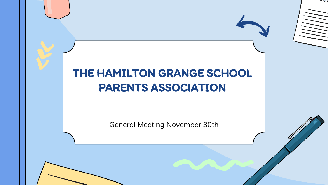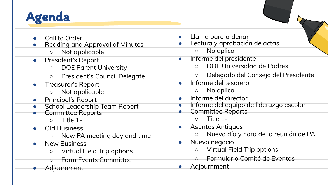

- Call to Order
- **Reading and Approval of Minutes** 
	- Not applicable
- **President's Report** 
	- DOE Parent University
	- President's Council Delegate
- Treasurer's Report
	- Not applicable
- Principal's Report
- **School Leadership Team Report**
- Committee Reports
	- $\circ$  Title 1-
- **Old Business** 
	- New PA meeting day and time
- **New Business** 
	- Virtual Field Trip options
	- **Form Events Committee**
	- Adjournment
- Llama para ordenar
- Lectura y aprobación de actas
	- No aplica
	- Informe del presidente ○ DOE Universidad de Padres
		- Delegado del Consejo del Presidente
- Informe del tesorero
	- No aplica
- Informe del director
- Informe del equipo de liderazgo escolar
- Committee Reports  $\circ$  Title 1-
- Asuntos Antiguos
	- Nuevo día y hora de la reunión de PA
- Nuevo negocio
	- Virtual Field Trip options
	- Formulario Comité de Eventos
- Adjournment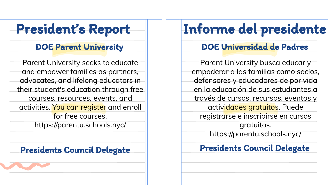## President's Report

Parent University seeks to educate and empower families as partners, advocates, and lifelong educators in their student's education through free courses, resources, events, and activities. You can register and enroll for free courses. https://parentu.schools.nyc/

# Informe del presidente

### DOE Parent University DOE Universidad de Padres

Parent University busca educar y empoderar a las familias como socios, defensores y educadores de por vida en la educación de sus estudiantes a través de cursos, recursos, eventos y actividades gratuitos. Puede registrarse e inscribirse en cursos gratuitos. https://parentu.schools.nyc/

## Presidents Council Delegate | Presidents Council Delegate